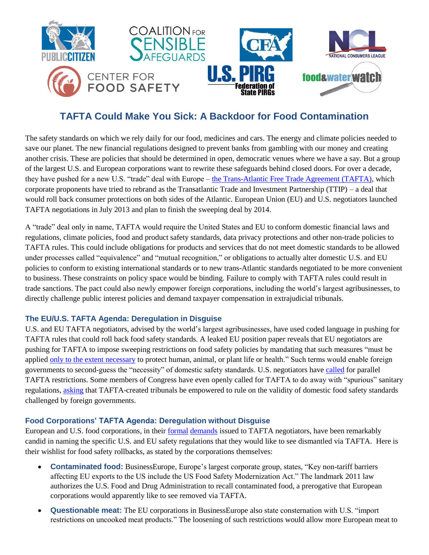

# **TAFTA Could Make You Sick: A Backdoor for Food Contamination**

The safety standards on which we rely daily for our food, medicines and cars. The energy and climate policies needed to save our planet. The new financial regulations designed to prevent banks from gambling with our money and creating another crisis. These are policies that should be determined in open, democratic venues where we have a say. But a group of the largest U.S. and European corporations want to rewrite these safeguards behind closed doors. For over a decade, they have pushed for a new U.S. "trade" deal with Europe – [the Trans-Atlantic Free Trade Agreement \(TAFTA\),](http://www.citizen.org/tafta) which corporate proponents have tried to rebrand as the Transatlantic Trade and Investment Partnership (TTIP) – a deal that would roll back consumer protections on both sides of the Atlantic. European Union (EU) and U.S. negotiators launched TAFTA negotiations in July 2013 and plan to finish the sweeping deal by 2014.

A "trade" deal only in name, TAFTA would require the United States and EU to conform domestic financial laws and regulations, climate policies, food and product safety standards, data privacy protections and other non-trade policies to TAFTA rules. This could include obligations for products and services that do not meet domestic standards to be allowed under processes called "equivalence" and "mutual recognition," or obligations to actually alter domestic U.S. and EU policies to conform to existing international standards or to new trans-Atlantic standards negotiated to be more convenient to business. These constraints on policy space would be binding. Failure to comply with TAFTA rules could result in trade sanctions. The pact could also newly empower foreign corporations, including the world's largest agribusinesses, to directly challenge public interest policies and demand taxpayer compensation in extrajudicial tribunals.

### **The EU/U.S. TAFTA Agenda: Deregulation in Disguise**

U.S. and EU TAFTA negotiators, advised by the world's largest agribusinesses, have used coded language in pushing for TAFTA rules that could roll back food safety standards. A leaked EU position paper reveals that EU negotiators are pushing for TAFTA to impose sweeping restrictions on food safety policies by mandating that such measures "must be applied [only to the extent necessary](http://www.iatp.org/files/TPC-TTIP-non-Papers-for-1st-Round-Negotiatons-June20-2013.pdf) to protect human, animal, or plant life or health." Such terms would enable foreign governments to second-guess the "necessity" of domestic safety standards. U.S. negotiators have [called](http://www.ustr.gov/sites/default/files/03202013%20TTIP%20Notification%20Letter.PDF) for parallel TAFTA restrictions. Some members of Congress have even openly called for TAFTA to do away with "spurious" sanitary regulations, [asking](http://insidetrade.com/iwpfile.html?file=aug2013%2Fwto2013_2666a.pdf) that TAFTA-created tribunals be empowered to rule on the validity of domestic food safety standards challenged by foreign governments.

# **Food Corporations' TAFTA Agenda: Deregulation without Disguise**

European and U.S. food corporations, in their [formal](http://www.regulations.gov/#!docketBrowser;rpp=50;po=0;D=USTR-2013-0019) [demands](http://ec.europa.eu/enterprise/policies/international/cooperating-governments/usa/jobs-growth/consultation-on-regulatory-issues_en.htm) issued to TAFTA negotiators, have been remarkably candid in naming the specific U.S. and EU safety regulations that they would like to see dismantled via TAFTA. Here is their wishlist for food safety rollbacks, as stated by the corporations themselves:

- **Contaminated food:** BusinessEurope, Europe's largest corporate group, states, "Key non-tariff barriers affecting EU exports to the US include the US Food Safety Modernization Act." The landmark 2011 law authorizes the U.S. Food and Drug Administration to recall contaminated food, a prerogative that European corporations would apparently like to see removed via TAFTA.
- **Questionable meat:** The EU corporations in BusinessEurope also state consternation with U.S. "import restrictions on uncooked meat products." The loosening of such restrictions would allow more European meat to